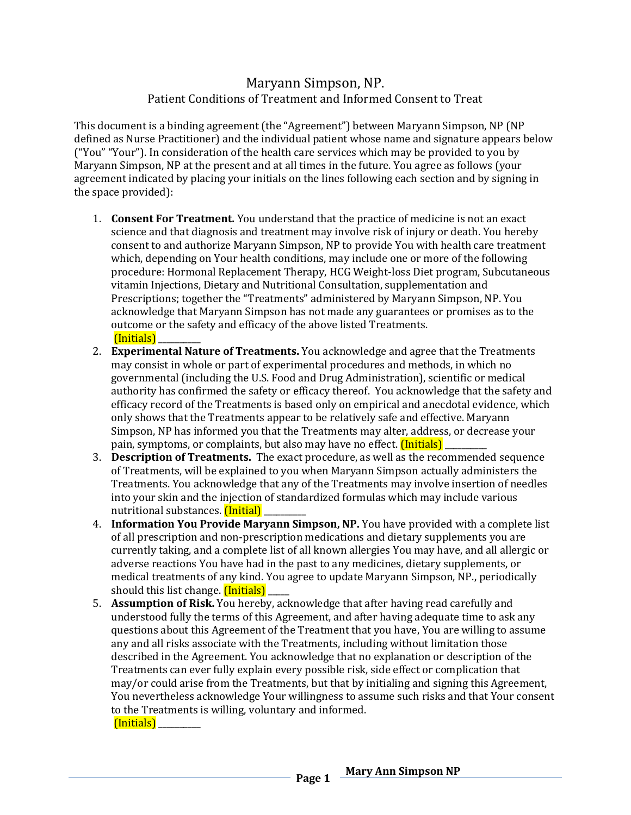## Maryann Simpson, NP. Patient Conditions of Treatment and Informed Consent to Treat

This document is a binding agreement (the "Agreement") between Maryann Simpson, NP (NP defined as Nurse Practitioner) and the individual patient whose name and signature appears below ("You" "Your"). In consideration of the health care services which may be provided to you by Maryann Simpson, NP at the present and at all times in the future. You agree as follows (your agreement indicated by placing your initials on the lines following each section and by signing in the space provided):

- 1. **Consent For Treatment.** You understand that the practice of medicine is not an exact science and that diagnosis and treatment may involve risk of injury or death. You hereby consent to and authorize Maryann Simpson, NP to provide You with health care treatment which, depending on Your health conditions, may include one or more of the following procedure: Hormonal Replacement Therapy, HCG Weight-loss Diet program, Subcutaneous vitamin Injections, Dietary and Nutritional Consultation, supplementation and Prescriptions; together the "Treatments" administered by Maryann Simpson, NP. You acknowledge that Maryann Simpson has not made any guarantees or promises as to the outcome or the safety and efficacy of the above listed Treatments. (Initials) \_\_\_\_\_\_\_\_\_\_
- 2. **Experimental Nature of Treatments.** You acknowledge and agree that the Treatments may consist in whole or part of experimental procedures and methods, in which no governmental (including the U.S. Food and Drug Administration), scientific or medical authority has confirmed the safety or efficacy thereof. You acknowledge that the safety and efficacy record of the Treatments is based only on empirical and anecdotal evidence, which only shows that the Treatments appear to be relatively safe and effective. Maryann Simpson, NP has informed you that the Treatments may alter, address, or decrease your pain, symptoms, or complaints, but also may have no effect. *(Initials)*
- 3. **Description of Treatments.** The exact procedure, as well as the recommended sequence of Treatments, will be explained to you when Maryann Simpson actually administers the Treatments. You acknowledge that any of the Treatments may involve insertion of needles into your skin and the injection of standardized formulas which may include various nutritional substances. *(Initial)*
- 4. **Information You Provide Maryann Simpson, NP.** You have provided with a complete list of all prescription and non-prescription medications and dietary supplements you are currently taking, and a complete list of all known allergies You may have, and all allergic or adverse reactions You have had in the past to any medicines, dietary supplements, or medical treatments of any kind. You agree to update Maryann Simpson, NP., periodically should this list change. *(Initials)*
- 5. **Assumption of Risk.** You hereby, acknowledge that after having read carefully and understood fully the terms of this Agreement, and after having adequate time to ask any questions about this Agreement of the Treatment that you have, You are willing to assume any and all risks associate with the Treatments, including without limitation those described in the Agreement. You acknowledge that no explanation or description of the Treatments can ever fully explain every possible risk, side effect or complication that may/or could arise from the Treatments, but that by initialing and signing this Agreement, You nevertheless acknowledge Your willingness to assume such risks and that Your consent to the Treatments is willing, voluntary and informed. (Initials) \_\_\_\_\_\_\_\_\_\_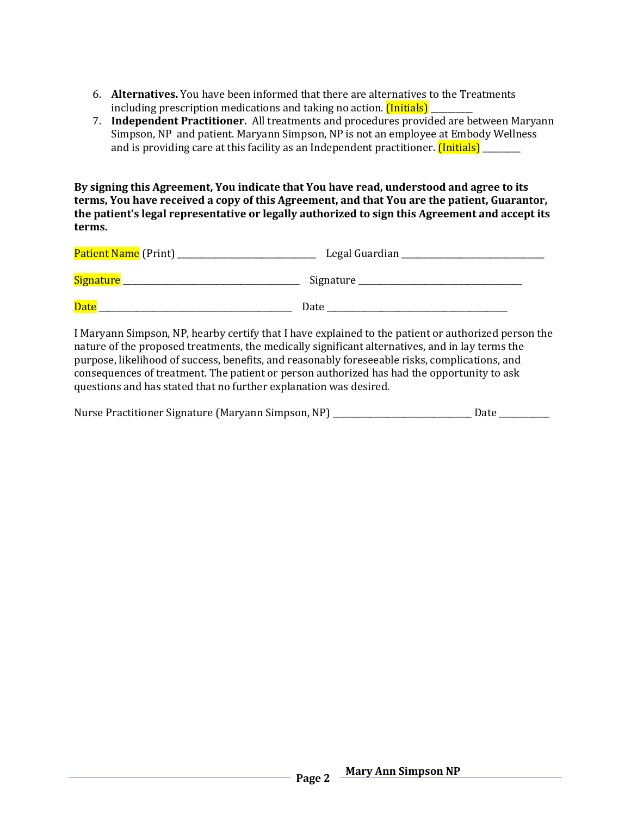- 6. **Alternatives.** You have been informed that there are alternatives to the Treatments including prescription medications and taking no action. *(Initials)*
- 7. **Independent Practitioner.** All treatments and procedures provided are between Maryann Simpson, NP and patient. Maryann Simpson, NP is not an employee at Embody Wellness and is providing care at this facility as an Independent practitioner. *(Initials)* \_\_\_\_\_\_\_

**By signing this Agreement, You indicate that You have read, understood and agree to its terms, You have received a copy of this Agreement, and that You are the patient, Guarantor, the patient's legal representative or legally authorized to sign this Agreement and accept its terms.** 

| <b>Patient Name</b> (Print) | Legal Guardian |  |
|-----------------------------|----------------|--|
| <b>Signature</b>            | Signature      |  |
| <b>Date</b>                 | Date           |  |

I Maryann Simpson, NP, hearby certify that I have explained to the patient or authorized person the nature of the proposed treatments, the medically significant alternatives, and in lay terms the purpose, likelihood of success, benefits, and reasonably foreseeable risks, complications, and consequences of treatment. The patient or person authorized has had the opportunity to ask questions and has stated that no further explanation was desired.

| Nurse Practitioner Signature (Maryann Simpson, NP) |      |
|----------------------------------------------------|------|
|                                                    | Date |
|                                                    |      |
|                                                    |      |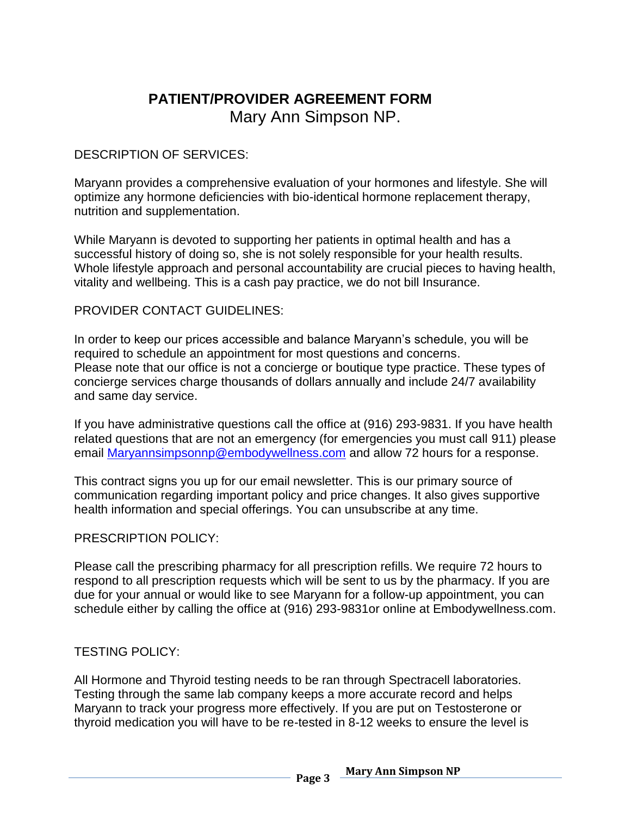## **PATIENT/PROVIDER AGREEMENT FORM** Mary Ann Simpson NP.

## DESCRIPTION OF SERVICES:

Maryann provides a comprehensive evaluation of your hormones and lifestyle. She will optimize any hormone deficiencies with bio-identical hormone replacement therapy, nutrition and supplementation.

While Maryann is devoted to supporting her patients in optimal health and has a successful history of doing so, she is not solely responsible for your health results. Whole lifestyle approach and personal accountability are crucial pieces to having health, vitality and wellbeing. This is a cash pay practice, we do not bill Insurance.

### PROVIDER CONTACT GUIDELINES:

In order to keep our prices accessible and balance Maryann's schedule, you will be required to schedule an appointment for most questions and concerns. Please note that our office is not a concierge or boutique type practice. These types of concierge services charge thousands of dollars annually and include 24/7 availability and same day service.

If you have administrative questions call the office at (916) 293-9831. If you have health related questions that are not an emergency (for emergencies you must call 911) please email [Maryannsimpsonnp@embodywellness.com](mailto:Maryannsimpsonnp@embodywellness.com) and allow 72 hours for a response.

This contract signs you up for our email newsletter. This is our primary source of communication regarding important policy and price changes. It also gives supportive health information and special offerings. You can unsubscribe at any time.

## PRESCRIPTION POLICY:

Please call the prescribing pharmacy for all prescription refills. We require 72 hours to respond to all prescription requests which will be sent to us by the pharmacy. If you are due for your annual or would like to see Maryann for a follow-up appointment, you can schedule either by calling the office at (916) 293-9831or online at Embodywellness.com.

## TESTING POLICY:

All Hormone and Thyroid testing needs to be ran through Spectracell laboratories. Testing through the same lab company keeps a more accurate record and helps Maryann to track your progress more effectively. If you are put on Testosterone or thyroid medication you will have to be re-tested in 8-12 weeks to ensure the level is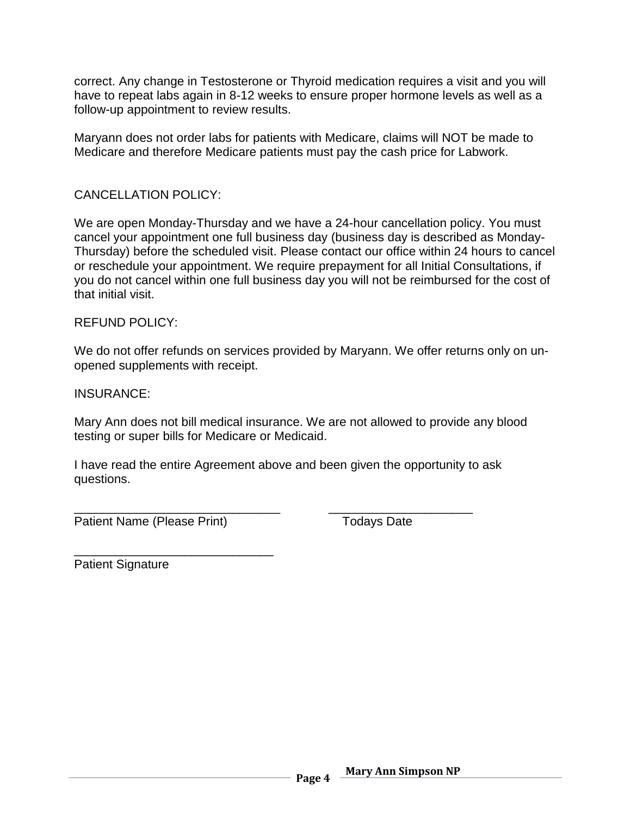correct. Any change in Testosterone or Thyroid medication requires a visit and you will have to repeat labs again in 8-12 weeks to ensure proper hormone levels as well as a follow-up appointment to review results.

Maryann does not order labs for patients with Medicare, claims will NOT be made to Medicare and therefore Medicare patients must pay the cash price for Labwork.

## CANCELLATION POLICY:

We are open Monday-Thursday and we have a 24-hour cancellation policy. You must cancel your appointment one full business day (business day is described as Monday-Thursday) before the scheduled visit. Please contact our office within 24 hours to cancel or reschedule your appointment. We require prepayment for all Initial Consultations, if you do not cancel within one full business day you will not be reimbursed for the cost of that initial visit.

### REFUND POLICY:

We do not offer refunds on services provided by Maryann. We offer returns only on unopened supplements with receipt.

INSURANCE:

Mary Ann does not bill medical insurance. We are not allowed to provide any blood testing or super bills for Medicare or Medicaid.

I have read the entire Agreement above and been given the opportunity to ask questions.

\_\_\_\_\_\_\_\_\_\_\_\_\_\_\_\_\_\_\_\_\_\_\_\_\_\_\_\_\_\_ \_\_\_\_\_\_\_\_\_\_\_\_\_\_\_\_\_\_\_\_\_

Patient Name (Please Print) Todays Date

\_\_\_\_\_\_\_\_\_\_\_\_\_\_\_\_\_\_\_\_\_\_\_\_\_\_\_\_\_ Patient Signature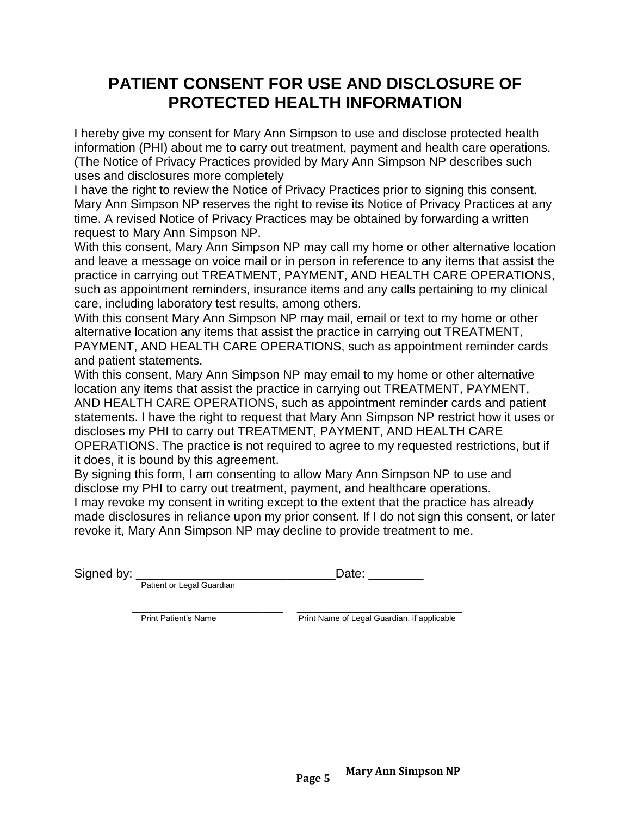# **PATIENT CONSENT FOR USE AND DISCLOSURE OF PROTECTED HEALTH INFORMATION**

I hereby give my consent for Mary Ann Simpson to use and disclose protected health information (PHI) about me to carry out treatment, payment and health care operations. (The Notice of Privacy Practices provided by Mary Ann Simpson NP describes such uses and disclosures more completely

I have the right to review the Notice of Privacy Practices prior to signing this consent. Mary Ann Simpson NP reserves the right to revise its Notice of Privacy Practices at any time. A revised Notice of Privacy Practices may be obtained by forwarding a written request to Mary Ann Simpson NP.

With this consent, Mary Ann Simpson NP may call my home or other alternative location and leave a message on voice mail or in person in reference to any items that assist the practice in carrying out TREATMENT, PAYMENT, AND HEALTH CARE OPERATIONS, such as appointment reminders, insurance items and any calls pertaining to my clinical care, including laboratory test results, among others.

With this consent Mary Ann Simpson NP may mail, email or text to my home or other alternative location any items that assist the practice in carrying out TREATMENT, PAYMENT, AND HEALTH CARE OPERATIONS, such as appointment reminder cards and patient statements.

With this consent, Mary Ann Simpson NP may email to my home or other alternative location any items that assist the practice in carrying out TREATMENT, PAYMENT, AND HEALTH CARE OPERATIONS, such as appointment reminder cards and patient statements. I have the right to request that Mary Ann Simpson NP restrict how it uses or discloses my PHI to carry out TREATMENT, PAYMENT, AND HEALTH CARE OPERATIONS. The practice is not required to agree to my requested restrictions, but if it does, it is bound by this agreement.

By signing this form, I am consenting to allow Mary Ann Simpson NP to use and disclose my PHI to carry out treatment, payment, and healthcare operations. I may revoke my consent in writing except to the extent that the practice has already made disclosures in reliance upon my prior consent. If I do not sign this consent, or later revoke it, Mary Ann Simpson NP may decline to provide treatment to me.

Signed by: \_\_\_\_\_\_\_\_\_\_\_\_\_\_\_\_\_\_\_\_\_\_\_\_\_\_\_\_\_Date: \_\_\_\_\_\_\_\_

Patient or Legal Guardian

 $\frac{1}{\sqrt{2}}$  ,  $\frac{1}{\sqrt{2}}$  ,  $\frac{1}{\sqrt{2}}$  ,  $\frac{1}{\sqrt{2}}$  ,  $\frac{1}{\sqrt{2}}$  ,  $\frac{1}{\sqrt{2}}$  ,  $\frac{1}{\sqrt{2}}$  ,  $\frac{1}{\sqrt{2}}$  ,  $\frac{1}{\sqrt{2}}$  ,  $\frac{1}{\sqrt{2}}$  ,  $\frac{1}{\sqrt{2}}$  ,  $\frac{1}{\sqrt{2}}$  ,  $\frac{1}{\sqrt{2}}$  ,  $\frac{1}{\sqrt{2}}$  ,  $\frac{1}{\sqrt{2}}$ 

Print Patient's Name **Print Name Print Name of Legal Guardian**, if applicable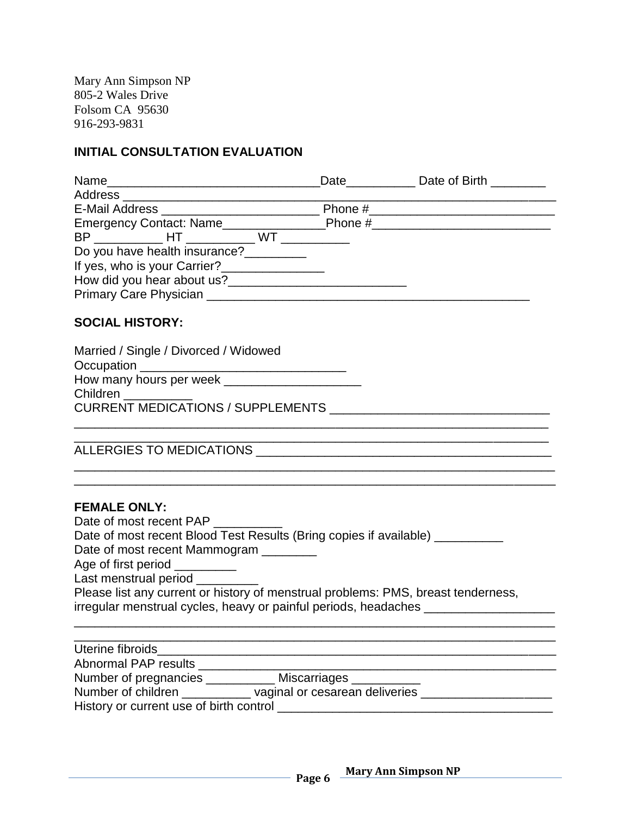Mary Ann Simpson NP 805-2 Wales Drive Folsom CA 95630 916-293-9831

## **INITIAL CONSULTATION EVALUATION**

| Name                                        |                      | Date Date of Birth |
|---------------------------------------------|----------------------|--------------------|
| Address                                     |                      |                    |
| E-Mail Address _________________________    | Phone # Phone # 2002 |                    |
|                                             |                      |                    |
| BP HT WT                                    |                      |                    |
| Do you have health insurance?___            |                      |                    |
| If yes, who is your Carrier?_______________ |                      |                    |
| How did you hear about us?                  |                      |                    |
| Primary Care Physician                      |                      |                    |

### **SOCIAL HISTORY:**

| Married / Single / Divorced / Widowed    |  |
|------------------------------------------|--|
|                                          |  |
|                                          |  |
|                                          |  |
| <b>CURRENT MEDICATIONS / SUPPLEMENTS</b> |  |
|                                          |  |

ALLERGIES TO MEDICATIONS \_\_\_\_\_\_\_\_\_\_\_\_\_\_\_\_\_\_\_\_\_\_\_\_\_\_\_\_\_\_\_\_\_\_\_\_\_\_\_\_\_\_\_

| <b>FEMALE ONLY:</b>                                                               |
|-----------------------------------------------------------------------------------|
| Date of most recent PAP                                                           |
| Date of most recent Blood Test Results (Bring copies if available)                |
| Date of most recent Mammogram                                                     |
| Age of first period __________                                                    |
| Last menstrual period ____                                                        |
| Please list any current or history of menstrual problems: PMS, breast tenderness, |
| irregular menstrual cycles, heavy or painful periods, headaches                   |
|                                                                                   |

| Uterine fibroids                                     |  |
|------------------------------------------------------|--|
| Abnormal PAP results                                 |  |
| Number of pregnancies<br>Miscarriages __________     |  |
| vaginal or cesarean deliveries<br>Number of children |  |
| History or current use of birth control              |  |

\_\_\_\_\_\_\_\_\_\_\_\_\_\_\_\_\_\_\_\_\_\_\_\_\_\_\_\_\_\_\_\_\_\_\_\_\_\_\_\_\_\_\_\_\_\_\_\_\_\_\_\_\_\_\_\_\_\_\_\_\_\_\_\_\_\_\_\_\_\_ \_\_\_\_\_\_\_\_\_\_\_\_\_\_\_\_\_\_\_\_\_\_\_\_\_\_\_\_\_\_\_\_\_\_\_\_\_\_\_\_\_\_\_\_\_\_\_\_\_\_\_\_\_\_\_\_\_\_\_\_\_\_\_\_\_\_\_\_\_\_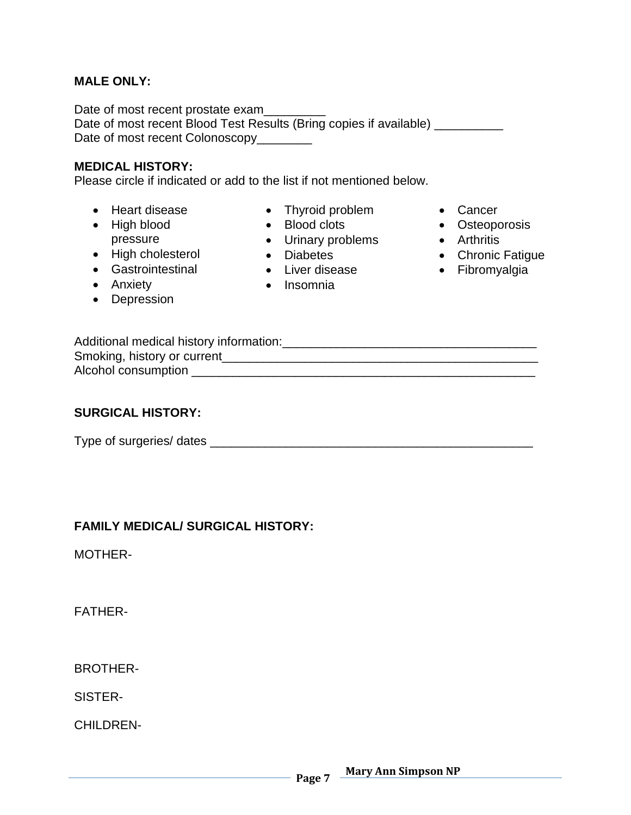### **MALE ONLY:**

Date of most recent prostate exam Date of most recent Blood Test Results (Bring copies if available) \_\_\_\_\_\_\_\_\_\_ Date of most recent Colonoscopy\_\_\_\_\_\_\_\_

#### **MEDICAL HISTORY:**

Please circle if indicated or add to the list if not mentioned below.

- Heart disease
- High blood pressure
- High cholesterol
- **•** Gastrointestinal
- Anxiety
- Depression
- Thyroid problem
- Blood clots
- Urinary problems
- Diabetes
- Liver disease
- Insomnia
- Cancer
- Osteoporosis
- Arthritis
	- Chronic Fatigue
	- **•** Fibromyalgia

| Additional medical history information: |  |
|-----------------------------------------|--|
| Smoking, history or current             |  |
| Alcohol consumption                     |  |

### **SURGICAL HISTORY:**

Type of surgeries/ dates \_\_\_\_\_\_\_\_\_\_\_\_\_\_\_\_\_\_\_\_\_\_\_\_\_\_\_\_\_\_\_\_\_\_\_\_\_\_\_\_\_\_\_\_\_\_\_

### **FAMILY MEDICAL/ SURGICAL HISTORY:**

MOTHER-

FATHER-

BROTHER-

SISTER-

CHILDREN-